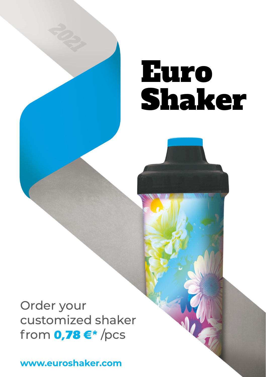# Euro Shaker

Order your customized shaker from **0,78 €\*** /pcs

**www.euroshaker.com**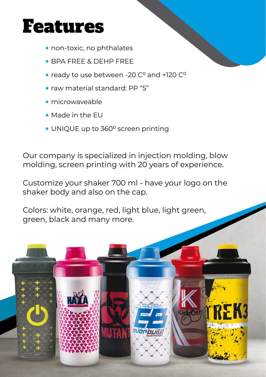### Features

- non-toxic, no phthalates
- BPA FREE & DEHP FREE
- ready to use between -20 C<sup>o</sup> and +120 C<sup>o</sup>
- raw material standard: PP "5"
- microwaveable
- Made in the EU
- UNIQUE up to 360° screen printing

Our company is specialized in injection molding, blow molding, screen printing with 20 years of experience.

Customize your shaker 700 ml - have your logo on the shaker body and also on the cap.

Colors: white, orange, red, light blue, light green, green, black and many more.